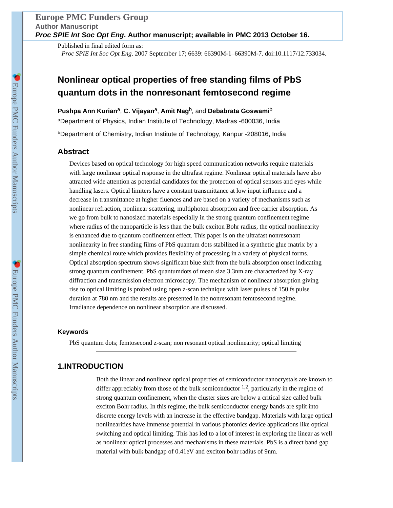# **Europe PMC Funders Group Author Manuscript Proc SPIE Int Soc Opt Eng. Author manuscript; available in PMC 2013 October 16.**

Published in final edited form as: *Proc SPIE Int Soc Opt Eng*. 2007 September 17; 6639: 66390M-1–66390M-7. doi:10.1117/12.733034.

# **Nonlinear optical properties of free standing films of PbS quantum dots in the nonresonant femtosecond regime**

**Pushpa Ann Kurian**a, **C. Vijayan**a, **Amit Nag**b, and **Debabrata Goswami**<sup>b</sup>

<sup>a</sup>Department of Physics, Indian Institute of Technology, Madras -600036, India

<sup>b</sup>Department of Chemistry, Indian Institute of Technology, Kanpur -208016, India

#### **Abstract**

Devices based on optical technology for high speed communication networks require materials with large nonlinear optical response in the ultrafast regime. Nonlinear optical materials have also attracted wide attention as potential candidates for the protection of optical sensors and eyes while handling lasers. Optical limiters have a constant transmittance at low input influence and a decrease in transmittance at higher fluences and are based on a variety of mechanisms such as nonlinear refraction, nonlinear scattering, multiphoton absorption and free carrier absorption. As we go from bulk to nanosized materials especially in the strong quantum confinement regime where radius of the nanoparticle is less than the bulk exciton Bohr radius, the optical nonlinearity is enhanced due to quantum confinement effect. This paper is on the ultrafast nonresonant nonlinearity in free standing films of PbS quantum dots stabilized in a synthetic glue matrix by a simple chemical route which provides flexibility of processing in a variety of physical forms. Optical absorption spectrum shows significant blue shift from the bulk absorption onset indicating strong quantum confinement. PbS quantumdots of mean size 3.3nm are characterized by X-ray diffraction and transmission electron microscopy. The mechanism of nonlinear absorption giving rise to optical limiting is probed using open z-scan technique with laser pulses of 150 fs pulse duration at 780 nm and the results are presented in the nonresonant femtosecond regime. Irradiance dependence on nonlinear absorption are discussed.

#### **Keywords**

PbS quantum dots; femtosecond z-scan; non resonant optical nonlinearity; optical limiting

#### **1.INTRODUCTION**

Both the linear and nonlinear optical properties of semiconductor nanocrystals are known to differ appreciably from those of the bulk semiconductor  $1,2$ , particularly in the regime of strong quantum confinement, when the cluster sizes are below a critical size called bulk exciton Bohr radius. In this regime, the bulk semiconductor energy bands are split into discrete energy levels with an increase in the effective bandgap. Materials with large optical nonlinearities have immense potential in various photonics device applications like optical switching and optical limiting. This has led to a lot of interest in exploring the linear as well as nonlinear optical processes and mechanisms in these materials. PbS is a direct band gap material with bulk bandgap of 0.41eV and exciton bohr radius of 9nm.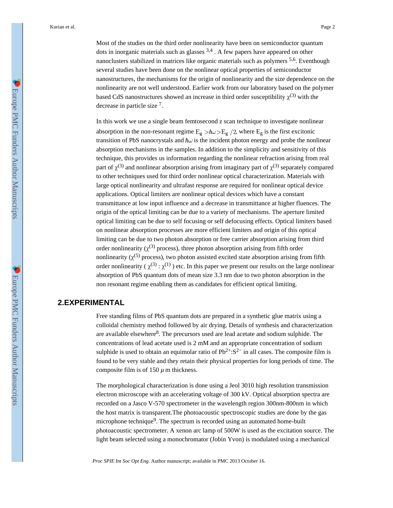Most of the studies on the third order nonlinearity have been on semiconductor quantum dots in inorganic materials such as glasses  $3.4$ . A few papers have appeared on other nanoclusters stabilized in matrices like organic materials such as polymers <sup>5,6</sup>. Eventhough several studies have been done on the nonlinear optical properties of semiconductor nanostructures, the mechanisms for the origin of nonlinearity and the size dependence on the nonlinearity are not well understood. Earlier work from our laboratory based on the polymer based CdS nanostructures showed an increase in third order susceptibility  $\chi^{(3)}$  with the decrease in particle size<sup>7</sup>.

In this work we use a single beam femtosecond z scan technique to investigate nonlinear absorption in the non-resonant regime  $E_g > \hbar \omega > E_g / 2$ , where  $E_g$  is the first excitonic transition of PbS nanocrystals and  $\hbar\omega$  is the incident photon energy and probe the nonlinear absorption mechanisms in the samples. In addition to the simplicity and sensitivity of this technique, this provides us information regarding the nonlinear refraction arising from real part of  $\chi^{(3)}$  and nonlinear absorption arising from imaginary part of  $\chi^{(3)}$  separately compared to other techniques used for third order nonlinear optical characterization. Materials with large optical nonlinearity and ultrafast response are required for nonlinear optical device applications. Optical limiters are nonlinear optical devices which have a constant transmittance at low input influence and a decrease in transmittance at higher fluences. The origin of the optical limiting can be due to a variety of mechanisms. The aperture limited optical limiting can be due to self focusing or self defocusing effects. Optical limiters based on nonlinear absorption processes are more efficient limiters and origin of this optical limiting can be due to two photon absorption or free carrier absorption arising from third order nonlinearity ( $\chi$ <sup>(3)</sup> process), three photon absorption arising from fifth order nonlinearity ( $\chi$ <sup>(5)</sup> process), two photon assisted excited state absorption arising from fifth order nonlinearity ( $\chi^{(3)}$ :  $\chi^{(1)}$ ) etc. In this paper we present our results on the large nonlinear absorption of PbS quantum dots of mean size 3.3 nm due to two photon absorption in the non resonant regime enabling them as candidates for efficient optical limiting.

## **2.EXPERIMENTAL**

Free standing films of PbS quantum dots are prepared in a synthetic glue matrix using a colloidal chemistry method followed by air drying. Details of synthesis and characterization are available elsewhere<sup>8</sup>. The precursors used are lead acetate and sodium sulphide. The concentrations of lead acetate used is 2 mM and an appropriate concentration of sodium sulphide is used to obtain an equimolar ratio of  $Pb^{2+}$ : $S^{2-}$  in all cases. The composite film is found to be very stable and they retain their physical properties for long periods of time. The composite film is of  $150 \mu$  m thickness.

The morphological characterization is done using a Jeol 3010 high resolution transmission electron microscope with an accelerating voltage of 300 kV. Optical absorption spectra are recorded on a Jasco V-570 spectrometer in the wavelength region 300nm-800nm in which the host matrix is transparent.The photoacoustic spectroscopic studies are done by the gas microphone technique<sup>9</sup>. The spectrum is recorded using an automated home-built photoacoustic spectrometer. A xenon arc lamp of 500W is used as the excitation source. The light beam selected using a monochromator (Jobin Yvon) is modulated using a mechanical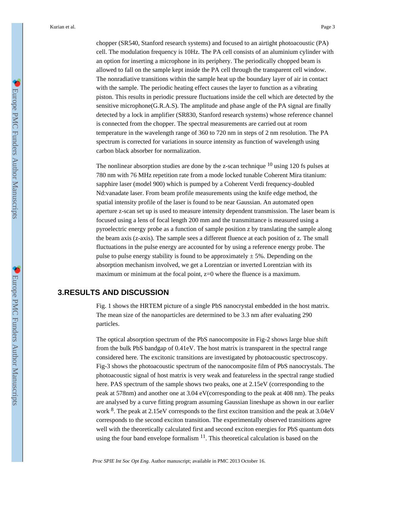chopper (SR540, Stanford research systems) and focused to an airtight photoacoustic (PA) cell. The modulation frequency is 10Hz. The PA cell consists of an aluminium cylinder with an option for inserting a microphone in its periphery. The periodically chopped beam is allowed to fall on the sample kept inside the PA cell through the transparent cell window. The nonradiative transitions within the sample heat up the boundary layer of air in contact with the sample. The periodic heating effect causes the layer to function as a vibrating piston. This results in periodic pressure fluctuations inside the cell which are detected by the sensitive microphone(G.R.A.S). The amplitude and phase angle of the PA signal are finally detected by a lock in amplifier (SR830, Stanford research systems) whose reference channel is connected from the chopper. The spectral measurements are carried out at room temperature in the wavelength range of 360 to 720 nm in steps of 2 nm resolution. The PA spectrum is corrected for variations in source intensity as function of wavelength using carbon black absorber for normalization.

The nonlinear absorption studies are done by the z-scan technique  $10$  using 120 fs pulses at 780 nm with 76 MHz repetition rate from a mode locked tunable Coherent Mira titanium: sapphire laser (model 900) which is pumped by a Coherent Verdi frequency-doubled Nd:vanadate laser. From beam profile measurements using the knife edge method, the spatial intensity profile of the laser is found to be near Gaussian. An automated open aperture z-scan set up is used to measure intensity dependent transmission. The laser beam is focused using a lens of focal length 200 mm and the transmittance is measured using a pyroelectric energy probe as a function of sample position z by translating the sample along the beam axis (z-axis). The sample sees a different fluence at each position of z. The small fluctuations in the pulse energy are accounted for by using a reference energy probe. The pulse to pulse energy stability is found to be approximately  $\pm$  5%. Depending on the absorption mechanism involved, we get a Lorentzian or inverted Lorentzian with its maximum or minimum at the focal point,  $z=0$  where the fluence is a maximum.

# **3.RESULTS AND DISCUSSION**

Fig. 1 shows the HRTEM picture of a single PbS nanocrystal embedded in the host matrix. The mean size of the nanoparticles are determined to be 3.3 nm after evaluating 290 particles.

The optical absorption spectrum of the PbS nanocomposite in Fig-2 shows large blue shift from the bulk PbS bandgap of 0.41eV. The host matrix is transparent in the spectral range considered here. The excitonic transitions are investigated by photoacoustic spectroscopy. Fig-3 shows the photoacoustic spectrum of the nanocomposite film of PbS nanocrystals. The photoacoustic signal of host matrix is very weak and featureless in the spectral range studied here. PAS spectrum of the sample shows two peaks, one at 2.15eV (corresponding to the peak at 578nm) and another one at 3.04 eV(corresponding to the peak at 408 nm). The peaks are analysed by a curve fitting program assuming Gaussian lineshape as shown in our earlier work <sup>8</sup>. The peak at 2.15eV corresponds to the first exciton transition and the peak at 3.04eV corresponds to the second exciton transition. The experimentally observed transitions agree well with the theoretically calculated first and second exciton energies for PbS quantum dots using the four band envelope formalism  $11$ . This theoretical calculation is based on the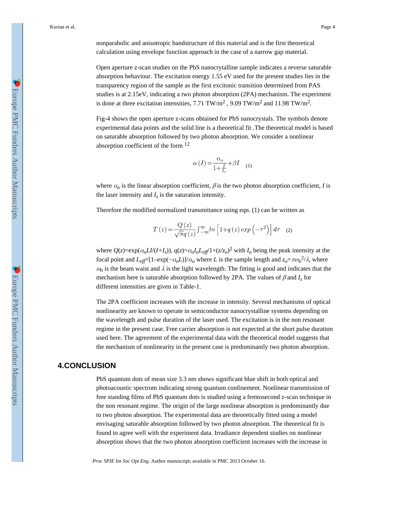nonparabolic and anisotropic bandstructure of this material and is the first theoretical calculation using envelope function approach in the case of a narrow gap material.

Open aperture z-scan studies on the PbS nanocrytalline sample indicates a reverse saturable absorption behaviour. The excitation energy 1.55 eV used for the present studies lies in the transparency region of the sample as the first excitonic transition determined from PAS studies is at 2.15eV, indicating a two photon absorption (2PA) mechanism. The experiment is done at three excitation intensities, 7.71 TW/m<sup>2</sup>, 9.09 TW/m<sup>2</sup> and 11.98 TW/m<sup>2</sup>.

Fig-4 shows the open aperture z-scans obtained for PbS nanocrystals. The symbols denote experimental data points and the solid line is a theoretical fit .The theoretical model is based on saturable absorption followed by two photon absorption. We consider a nonlinear absorption coefficient of the form <sup>12</sup>

$$
\alpha(I) = \frac{\alpha_o}{1 + \frac{I}{I_s}} + \beta I \quad (1)
$$

where  $a<sub>o</sub>$  is the linear absorption coefficient,  $\beta$  is the two photon absorption coefficient, *I* is the laser intensity and  $I_s$  is the saturation intensity.

Therefore the modified normalized transmittance using eqn. (1) can be written as

$$
T(z) = \frac{Q(z)}{\sqrt{\pi}q(z)} \int_{-\infty}^{\infty} ln\left[1 + q(z) \exp\left(-\tau^2\right)\right] d\tau \quad (2)
$$

where  $Q(z) = \exp(a_0 L I/(I + I_s))$ ,  $q(z) = a_0 I_0 L_{eff}/1 + (z/z_0)^2$  with  $I_0$  being the peak intensity at the focal point and  $L_{eff}$ =[1–exp( $-a_oL$ )]/ $a_o$  where *L* is the sample length and  $z_o = \pi \omega_o^2/\lambda$ , where  $\omega$ <sub>o</sub> is the beam waist and  $\lambda$  is the light wavelength. The fitting is good and indicates that the mechanism here is saturable absorption followed by 2PA. The values of  $\beta$  and  $I_s$  for different intensities are given in Table-1.

The 2PA coefficient increases with the increase in intensity. Several mechanisms of optical nonlinearity are known to operate in semiconductor nanocrystalline systems depending on the wavelength and pulse duration of the laser used. The excitation is in the non resonant regime in the present case. Free carrier absorption is not expected at the short pulse duration used here. The agreement of the experimental data with the theoretical model suggests that the mechanism of nonlinearity in the present case is predominantly two photon absorption.

#### **4.CONCLUSION**

PbS quantum dots of mean size 3.3 nm shows significant blue shift in both optical and photoacoustic spectrum indicating strong quantum confinement. Nonlinear transmission of free standing films of PbS quantum dots is studied using a femtosecond z-scan technique in the non resonant regime. The origin of the large nonlinear absorption is predominantly due to two photon absorption. The experimental data are theoretically fitted using a model envisaging saturable absorption followed by two photon absorption. The theoretical fit is found to agree well with the experiment data. Irradiance dependent studies on nonlinear absorption shows that the two photon absorption coefficient increases with the increase in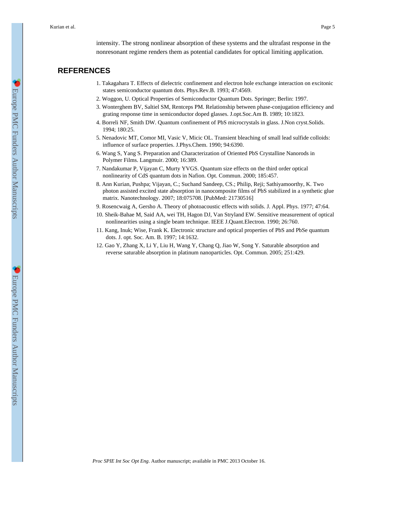intensity. The strong nonlinear absorption of these systems and the ultrafast response in the nonresonant regime renders them as potential candidates for optical limiting application.

# **REFERENCES**

- 1. Takagahara T. Effects of dielectric confinement and electron hole exchange interaction on excitonic states semiconductor quantum dots. Phys.Rev.B. 1993; 47:4569.
- 2. Woggon, U. Optical Properties of Semiconductor Quantum Dots. Springer; Berlin: 1997.
- 3. Wonterghem BV, Saltiel SM, Rentceps PM. Relationship between phase-conjugation efficiency and grating response time in semiconductor doped glasses. J.opt.Soc.Am B. 1989; 10:1823.
- 4. Borreli NF, Smith DW. Quantum confinement of PbS microcrystals in glass. J.Non cryst.Solids. 1994; 180:25.
- 5. Nenadovic MT, Comor MI, Vasic V, Micic OL. Transient bleaching of small lead sulfide colloids: influence of surface properties. J.Phys.Chem. 1990; 94:6390.
- 6. Wang S, Yang S. Preparation and Characterization of Oriented PbS Crystalline Nanorods in Polymer Films. Langmuir. 2000; 16:389.
- 7. Nandakumar P, Vijayan C, Murty YVGS. Quantum size effects on the third order optical nonlinearity of CdS quantum dots in Nafion. Opt. Commun. 2000; 185:457.
- 8. Ann Kurian, Pushpa; Vijayan, C.; Suchand Sandeep, CS.; Philip, Reji; Sathiyamoorthy, K. Two photon assisted excited state absorption in nanocomposite films of PbS stabilized in a synthetic glue matrix. Nanotechnology. 2007; 18:075708. [PubMed: 21730516]
- 9. Rosencwaig A, Gersho A. Theory of photoacoustic effects with solids. J. Appl. Phys. 1977; 47:64.
- 10. Sheik-Bahae M, Said AA, wei TH, Hagon DJ, Van Stryland EW. Sensitive measurement of optical nonlinearities using a single beam technique. IEEE J.Quant.Electron. 1990; 26:760.
- 11. Kang, Inuk; Wise, Frank K. Electronic structure and optical properties of PbS and PbSe quantum dots. J. opt. Soc. Am. B. 1997; 14:1632.
- 12. Gao Y, Zhang X, Li Y, Liu H, Wang Y, Chang Q, Jiao W, Song Y. Saturable absorption and reverse saturable absorption in platinum nanoparticles. Opt. Commun. 2005; 251:429.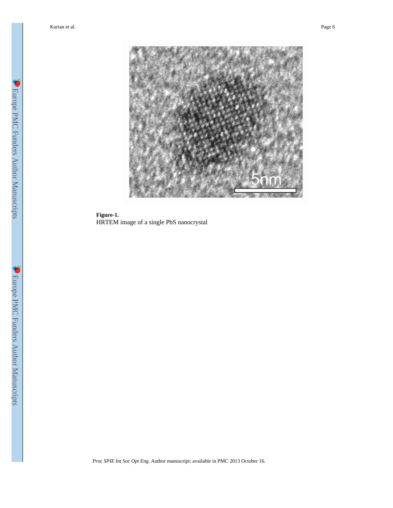

**Figure-1.**  HRTEM image of a single PbS nanocrystal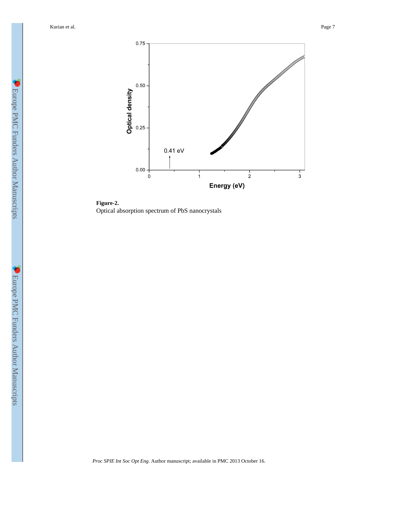

**Figure-2.**  Optical absorption spectrum of PbS nanocrystals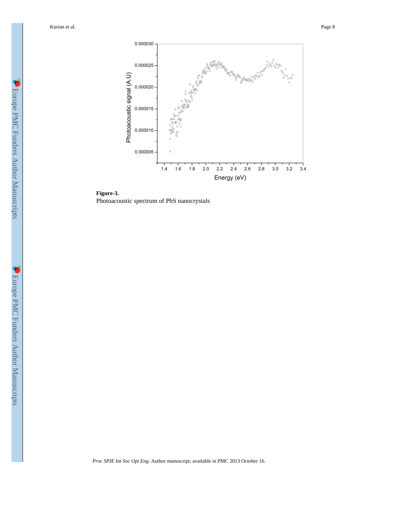

**Figure-3.**  Photoacoustic spectrum of PbS nanocrystals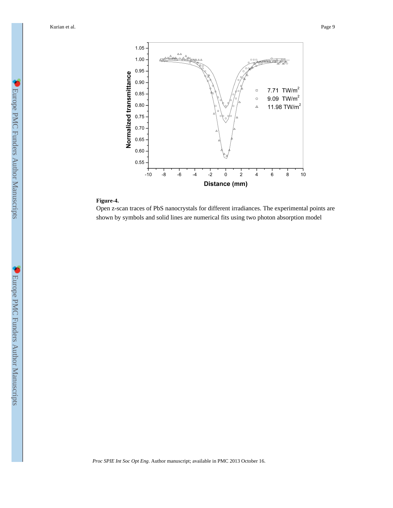

## **Figure-4.**

Open z-scan traces of PbS nanocrystals for different irradiances. The experimental points are shown by symbols and solid lines are numerical fits using two photon absorption model